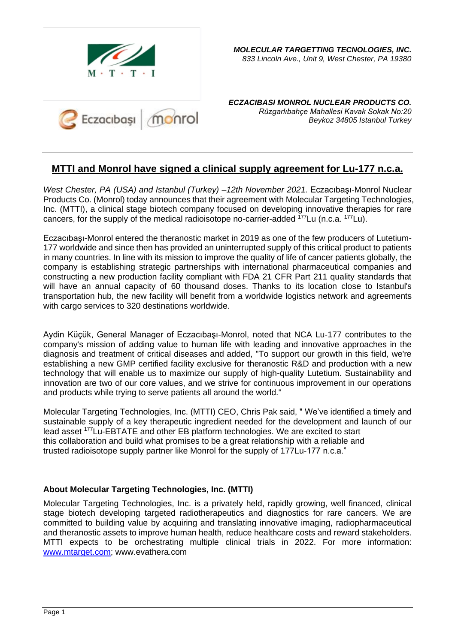

*ECZACIBASI MONROL NUCLEAR PRODUCTS CO. Rüzgarlıbahçe Mahallesi Kavak Sokak No:20 Beykoz 34805 Istanbul Turkey*

# **MTTI and Monrol have signed a clinical supply agreement for Lu-177 n.c.a.**

*West Chester, PA (USA) and Istanbul (Turkey) –12th November 2021.* Eczacıbaşı-Monrol Nuclear Products Co. (Monrol) today announces that their agreement with Molecular Targeting Technologies, Inc. (MTTI), a clinical stage biotech company focused on developing innovative therapies for rare cancers, for the supply of the medical radioisotope no-carrier-added <sup>177</sup>Lu (n.c.a. <sup>177</sup>Lu).

Eczacıbaşı-Monrol entered the theranostic market in 2019 as one of the few producers of Lutetium-177 worldwide and since then has provided an uninterrupted supply of this critical product to patients in many countries. In line with its mission to improve the quality of life of cancer patients globally, the company is establishing strategic partnerships with international pharmaceutical companies and constructing a new production facility compliant with FDA 21 CFR Part 211 quality standards that will have an annual capacity of 60 thousand doses. Thanks to its location close to Istanbul's transportation hub, the new facility will benefit from a worldwide logistics network and agreements with cargo services to 320 destinations worldwide.

Aydin Küçük, General Manager of Eczacıbaşı-Monrol, noted that NCA Lu-177 contributes to the company's mission of adding value to human life with leading and innovative approaches in the diagnosis and treatment of critical diseases and added, "To support our growth in this field, we're establishing a new GMP certified facility exclusive for theranostic R&D and production with a new technology that will enable us to maximize our supply of high-quality Lutetium. Sustainability and innovation are two of our core values, and we strive for continuous improvement in our operations and products while trying to serve patients all around the world."

Molecular Targeting Technologies, Inc. (MTTI) CEO, Chris Pak said, " We've identified a timely and sustainable supply of a key therapeutic ingredient needed for the development and launch of our lead asset <sup>177</sup>Lu-EBTATE and other EB platform technologies. We are excited to start this collaboration and build what promises to be a great relationship with a reliable and trusted radioisotope supply partner like Monrol for the supply of 177Lu-177 n.c.a."

## **About Molecular Targeting Technologies, Inc. (MTTI)**

Molecular Targeting Technologies, Inc. is a privately held, rapidly growing, well financed, clinical stage biotech developing targeted radiotherapeutics and diagnostics for rare cancers. We are committed to building value by acquiring and translating innovative imaging, radiopharmaceutical and theranostic assets to improve human health, reduce healthcare costs and reward stakeholders. MTTI expects to be orchestrating multiple clinical trials in 2022. For more information: [www.mtarget.com;](http://www.mtarget.com/) www.evathera.com